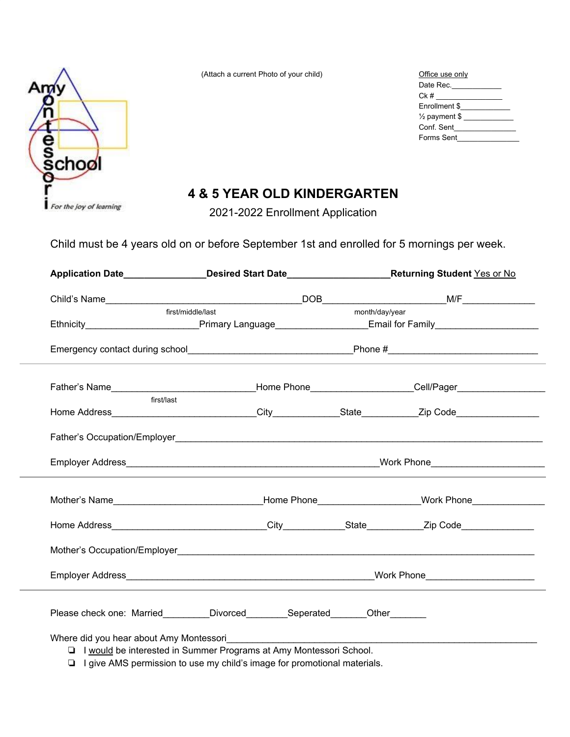

(Attach a current Photo of your child) Office use only use of  $Q$ 

| Office use only          |
|--------------------------|
| Date Rec.                |
| Ck #                     |
| Enrollment \$            |
| $\frac{1}{2}$ payment \$ |
| Conf. Sent               |
| Forms Sent               |

## **4 & 5 YEAR OLD KINDERGARTEN**

2021-2022 Enrollment Application

Child must be 4 years old on or before September 1st and enrolled for 5 mornings per week.

|                                                                                                                |  |                | Application Date__________________Desired Start Date__________________________Returning Student Yes or No                                                                                                                      |  |
|----------------------------------------------------------------------------------------------------------------|--|----------------|--------------------------------------------------------------------------------------------------------------------------------------------------------------------------------------------------------------------------------|--|
|                                                                                                                |  |                |                                                                                                                                                                                                                                |  |
| first/middle/last                                                                                              |  | month/day/year |                                                                                                                                                                                                                                |  |
| Ethnicity_____________________________Primary Language______________________Email for Family__________________ |  |                |                                                                                                                                                                                                                                |  |
|                                                                                                                |  |                |                                                                                                                                                                                                                                |  |
|                                                                                                                |  |                |                                                                                                                                                                                                                                |  |
| first/last                                                                                                     |  |                |                                                                                                                                                                                                                                |  |
|                                                                                                                |  |                |                                                                                                                                                                                                                                |  |
|                                                                                                                |  |                |                                                                                                                                                                                                                                |  |
|                                                                                                                |  |                | Mother's Name Contract Contract Contract Contract Contract Contract Contract Contract Contract Contract Contract Contract Contract Contract Contract Contract Contract Contract Contract Contract Contract Contract Contract C |  |
|                                                                                                                |  |                |                                                                                                                                                                                                                                |  |
|                                                                                                                |  |                |                                                                                                                                                                                                                                |  |
|                                                                                                                |  |                |                                                                                                                                                                                                                                |  |
|                                                                                                                |  |                |                                                                                                                                                                                                                                |  |

❏ I give AMS permission to use my child's image for promotional materials.